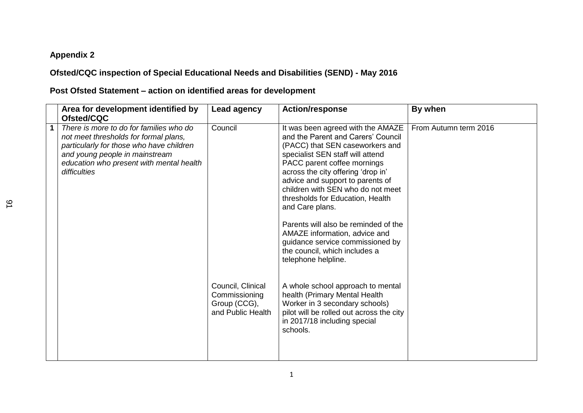## **Appendix 2**

## **Ofsted/CQC inspection of Special Educational Needs and Disabilities (SEND) - May 2016**

## **Post Ofsted Statement – action on identified areas for development**

|   | Area for development identified by<br>Ofsted/CQC                                                                                                                                                                           | <b>Lead agency</b>                                                      | <b>Action/response</b>                                                                                                                                                                                                                                                                                                                                                                                                                                                                                                   | By when               |
|---|----------------------------------------------------------------------------------------------------------------------------------------------------------------------------------------------------------------------------|-------------------------------------------------------------------------|--------------------------------------------------------------------------------------------------------------------------------------------------------------------------------------------------------------------------------------------------------------------------------------------------------------------------------------------------------------------------------------------------------------------------------------------------------------------------------------------------------------------------|-----------------------|
| 1 | There is more to do for families who do<br>not meet thresholds for formal plans,<br>particularly for those who have children<br>and young people in mainstream<br>education who present with mental health<br>difficulties | Council                                                                 | It was been agreed with the AMAZE<br>and the Parent and Carers' Council<br>(PACC) that SEN caseworkers and<br>specialist SEN staff will attend<br>PACC parent coffee mornings<br>across the city offering 'drop in'<br>advice and support to parents of<br>children with SEN who do not meet<br>thresholds for Education, Health<br>and Care plans.<br>Parents will also be reminded of the<br>AMAZE information, advice and<br>guidance service commissioned by<br>the council, which includes a<br>telephone helpline. | From Autumn term 2016 |
|   |                                                                                                                                                                                                                            | Council, Clinical<br>Commissioning<br>Group (CCG),<br>and Public Health | A whole school approach to mental<br>health (Primary Mental Health<br>Worker in 3 secondary schools)<br>pilot will be rolled out across the city<br>in 2017/18 including special<br>schools.                                                                                                                                                                                                                                                                                                                             |                       |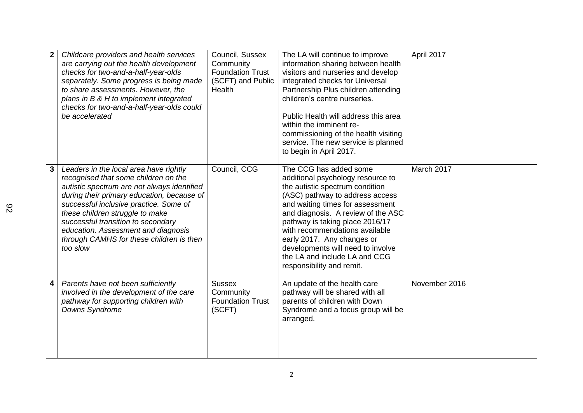|   | Childcare providers and health services<br>are carrying out the health development<br>checks for two-and-a-half-year-olds<br>separately. Some progress is being made<br>to share assessments. However, the<br>plans in B & H to implement integrated<br>checks for two-and-a-half-year-olds could<br>be accelerated                                                                           | Council, Sussex<br>Community<br><b>Foundation Trust</b><br>(SCFT) and Public<br>Health | The LA will continue to improve<br>information sharing between health<br>visitors and nurseries and develop<br>integrated checks for Universal<br>Partnership Plus children attending<br>children's centre nurseries.<br>Public Health will address this area<br>within the imminent re-<br>commissioning of the health visiting<br>service. The new service is planned<br>to begin in April 2017.                | April 2017    |
|---|-----------------------------------------------------------------------------------------------------------------------------------------------------------------------------------------------------------------------------------------------------------------------------------------------------------------------------------------------------------------------------------------------|----------------------------------------------------------------------------------------|-------------------------------------------------------------------------------------------------------------------------------------------------------------------------------------------------------------------------------------------------------------------------------------------------------------------------------------------------------------------------------------------------------------------|---------------|
| 3 | Leaders in the local area have rightly<br>recognised that some children on the<br>autistic spectrum are not always identified<br>during their primary education, because of<br>successful inclusive practice. Some of<br>these children struggle to make<br>successful transition to secondary<br>education. Assessment and diagnosis<br>through CAMHS for these children is then<br>too slow | Council, CCG                                                                           | The CCG has added some<br>additional psychology resource to<br>the autistic spectrum condition<br>(ASC) pathway to address access<br>and waiting times for assessment<br>and diagnosis. A review of the ASC<br>pathway is taking place 2016/17<br>with recommendations available<br>early 2017. Any changes or<br>developments will need to involve<br>the LA and include LA and CCG<br>responsibility and remit. | March 2017    |
| 4 | Parents have not been sufficiently<br>involved in the development of the care<br>pathway for supporting children with<br>Downs Syndrome                                                                                                                                                                                                                                                       | <b>Sussex</b><br>Community<br><b>Foundation Trust</b><br>(SCFT)                        | An update of the health care<br>pathway will be shared with all<br>parents of children with Down<br>Syndrome and a focus group will be<br>arranged.                                                                                                                                                                                                                                                               | November 2016 |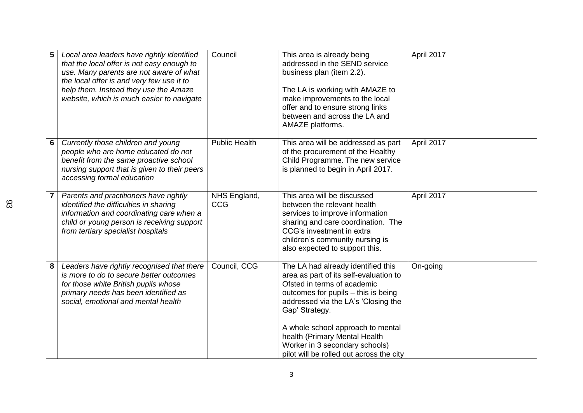| 5 | Local area leaders have rightly identified<br>that the local offer is not easy enough to<br>use. Many parents are not aware of what<br>the local offer is and very few use it to<br>help them. Instead they use the Amaze<br>website, which is much easier to navigate | Council              | This area is already being<br>addressed in the SEND service<br>business plan (item 2.2).<br>The LA is working with AMAZE to<br>make improvements to the local<br>offer and to ensure strong links<br>between and across the LA and<br>AMAZE platforms.                                                                                                          | April 2017 |
|---|------------------------------------------------------------------------------------------------------------------------------------------------------------------------------------------------------------------------------------------------------------------------|----------------------|-----------------------------------------------------------------------------------------------------------------------------------------------------------------------------------------------------------------------------------------------------------------------------------------------------------------------------------------------------------------|------------|
| 6 | Currently those children and young<br>people who are home educated do not<br>benefit from the same proactive school<br>nursing support that is given to their peers<br>accessing formal education                                                                      | <b>Public Health</b> | This area will be addressed as part<br>of the procurement of the Healthy<br>Child Programme. The new service<br>is planned to begin in April 2017.                                                                                                                                                                                                              | April 2017 |
|   | Parents and practitioners have rightly<br>identified the difficulties in sharing<br>information and coordinating care when a<br>child or young person is receiving support<br>from tertiary specialist hospitals                                                       | NHS England,<br>CCG  | This area will be discussed<br>between the relevant health<br>services to improve information<br>sharing and care coordination. The<br>CCG's investment in extra<br>children's community nursing is<br>also expected to support this.                                                                                                                           | April 2017 |
| 8 | Leaders have rightly recognised that there<br>is more to do to secure better outcomes<br>for those white British pupils whose<br>primary needs has been identified as<br>social, emotional and mental health                                                           | Council, CCG         | The LA had already identified this<br>area as part of its self-evaluation to<br>Ofsted in terms of academic<br>outcomes for pupils - this is being<br>addressed via the LA's 'Closing the<br>Gap' Strategy.<br>A whole school approach to mental<br>health (Primary Mental Health<br>Worker in 3 secondary schools)<br>pilot will be rolled out across the city | On-going   |